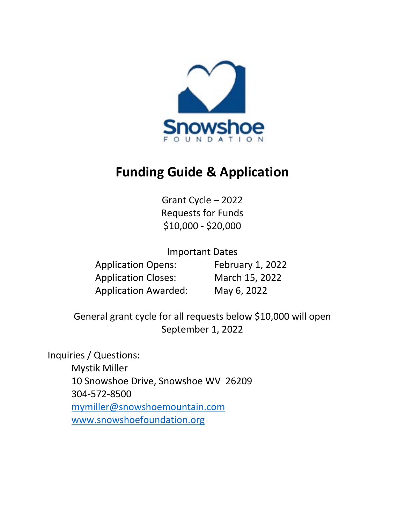

# **Funding Guide & Application**

Grant Cycle – 2022 Requests for Funds \$10,000 - \$20,000

Important Dates

Application Opens: February 1, 2022 Application Closes: March 15, 2022 Application Awarded: May 6, 2022

General grant cycle for all requests below \$10,000 will open September 1, 2022

Inquiries / Questions: Mystik Miller 10 Snowshoe Drive, Snowshoe WV 26209 304-572-8500 [mymiller@snowshoemountain.com](mailto:mymiller@snowshoemountain.com) [www.snowshoefoundation.org](http://www.snowshoefoundation.org/)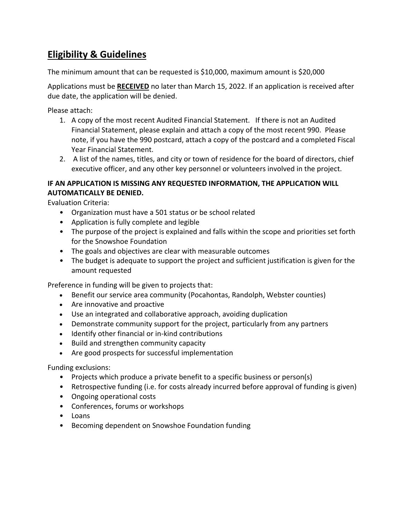### **Eligibility & Guidelines**

The minimum amount that can be requested is \$10,000, maximum amount is \$20,000

Applications must be **RECEIVED** no later than March 15, 2022. If an application is received after due date, the application will be denied.

Please attach:

- 1. A copy of the most recent Audited Financial Statement. If there is not an Audited Financial Statement, please explain and attach a copy of the most recent 990. Please note, if you have the 990 postcard, attach a copy of the postcard and a completed Fiscal Year Financial Statement.
- 2. A list of the names, titles, and city or town of residence for the board of directors, chief executive officer, and any other key personnel or volunteers involved in the project.

#### **IF AN APPLICATION IS MISSING ANY REQUESTED INFORMATION, THE APPLICATION WILL AUTOMATICALLY BE DENIED.**

Evaluation Criteria:

- Organization must have a 501 status or be school related
- Application is fully complete and legible
- The purpose of the project is explained and falls within the scope and priorities set forth for the Snowshoe Foundation
- The goals and objectives are clear with measurable outcomes
- The budget is adequate to support the project and sufficient justification is given for the amount requested

Preference in funding will be given to projects that:

- Benefit our service area community (Pocahontas, Randolph, Webster counties)
- Are innovative and proactive
- Use an integrated and collaborative approach, avoiding duplication
- Demonstrate community support for the project, particularly from any partners
- Identify other financial or in-kind contributions
- Build and strengthen community capacity
- Are good prospects for successful implementation

Funding exclusions:

- Projects which produce a private benefit to a specific business or person(s)
- Retrospective funding (i.e. for costs already incurred before approval of funding is given)
- Ongoing operational costs
- Conferences, forums or workshops
- Loans
- Becoming dependent on Snowshoe Foundation funding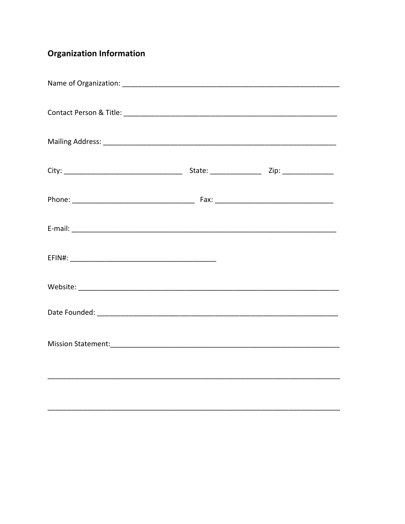## **Organization Information**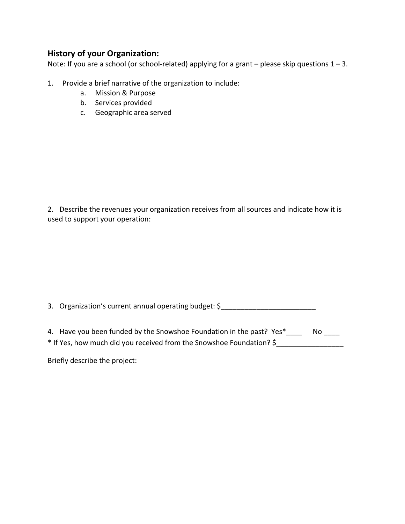#### **History of your Organization:**

Note: If you are a school (or school-related) applying for a grant – please skip questions 1 – 3.

- 1. Provide a brief narrative of the organization to include:
	- a. Mission & Purpose
	- b. Services provided
	- c. Geographic area served

2. Describe the revenues your organization receives from all sources and indicate how it is used to support your operation:

3. Organization's current annual operating budget: \$

| 4. Have you been funded by the Snowshoe Foundation in the past? Yes* | No |
|----------------------------------------------------------------------|----|
| * If Yes, how much did you received from the Snowshoe Foundation? \$ |    |

Briefly describe the project: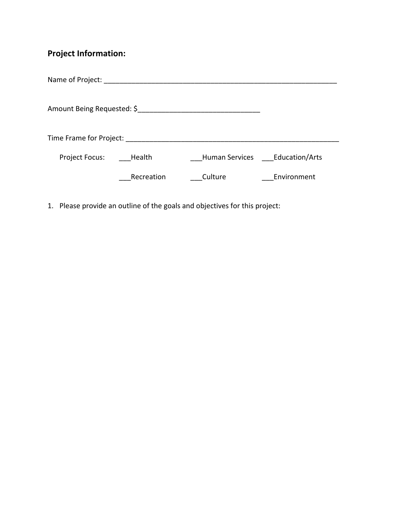## **Project Information:**

| Name of Project:        |            |                                                         |             |
|-------------------------|------------|---------------------------------------------------------|-------------|
|                         |            | Amount Being Requested: \$ 5 amount Being Requested: \$ |             |
| Time Frame for Project: |            |                                                         |             |
| Project Focus: Health   |            | Human Services Education/Arts                           |             |
|                         | Recreation | Culture                                                 | Environment |

1. Please provide an outline of the goals and objectives for this project: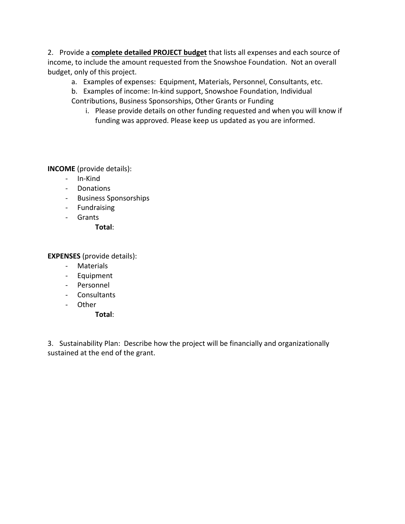2. Provide a **complete detailed PROJECT budget** that lists all expenses and each source of income, to include the amount requested from the Snowshoe Foundation. Not an overall budget, only of this project.

- a. Examples of expenses: Equipment, Materials, Personnel, Consultants, etc.
- b. Examples of income: In-kind support, Snowshoe Foundation, Individual Contributions, Business Sponsorships, Other Grants or Funding
	- i. Please provide details on other funding requested and when you will know if funding was approved. Please keep us updated as you are informed.

**INCOME** (provide details):

- In-Kind
- Donations
- Business Sponsorships
- Fundraising
- Grants

**Total**:

**EXPENSES** (provide details):

- Materials
- Equipment
- Personnel
- Consultants
- Other
	- **Total**:

3. Sustainability Plan: Describe how the project will be financially and organizationally sustained at the end of the grant.